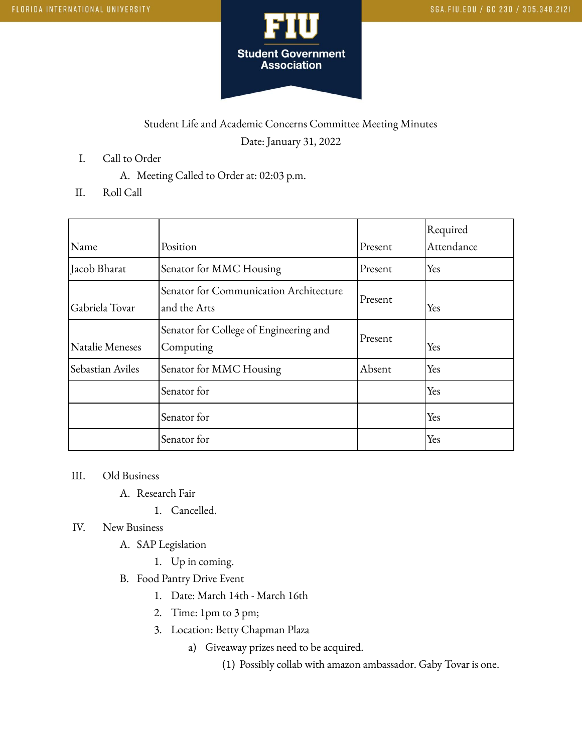

## Student Life and Academic Concerns Committee Meeting Minutes Date: January 31, 2022

- I. Call to Order
	- A. Meeting Called to Order at: 02:03 p.m.
- II. Roll Call

|                  |                                                        |         | Required   |
|------------------|--------------------------------------------------------|---------|------------|
| Name             | Position                                               | Present | Attendance |
| Jacob Bharat     | Senator for MMC Housing                                | Present | Yes        |
| Gabriela Tovar   | Senator for Communication Architecture<br>and the Arts | Present | Yes        |
| Natalie Meneses  | Senator for College of Engineering and<br>Computing    | Present | Yes        |
| Sebastian Aviles | Senator for MMC Housing                                | Absent  | Yes        |
|                  | Senator for                                            |         | Yes        |
|                  | Senator for                                            |         | Yes        |
|                  | Senator for                                            |         | Yes        |

## III. Old Business

- A. Research Fair
	- 1. Cancelled.

## IV. New Business

- A. SAP Legislation
	- 1. Up in coming.
- B. Food Pantry Drive Event
	- 1. Date: March 14th March 16th
	- 2. Time: 1pm to 3 pm;
	- 3. Location: Betty Chapman Plaza
		- a) Giveaway prizes need to be acquired.
			- (1) Possibly collab with amazon ambassador. Gaby Tovar is one.